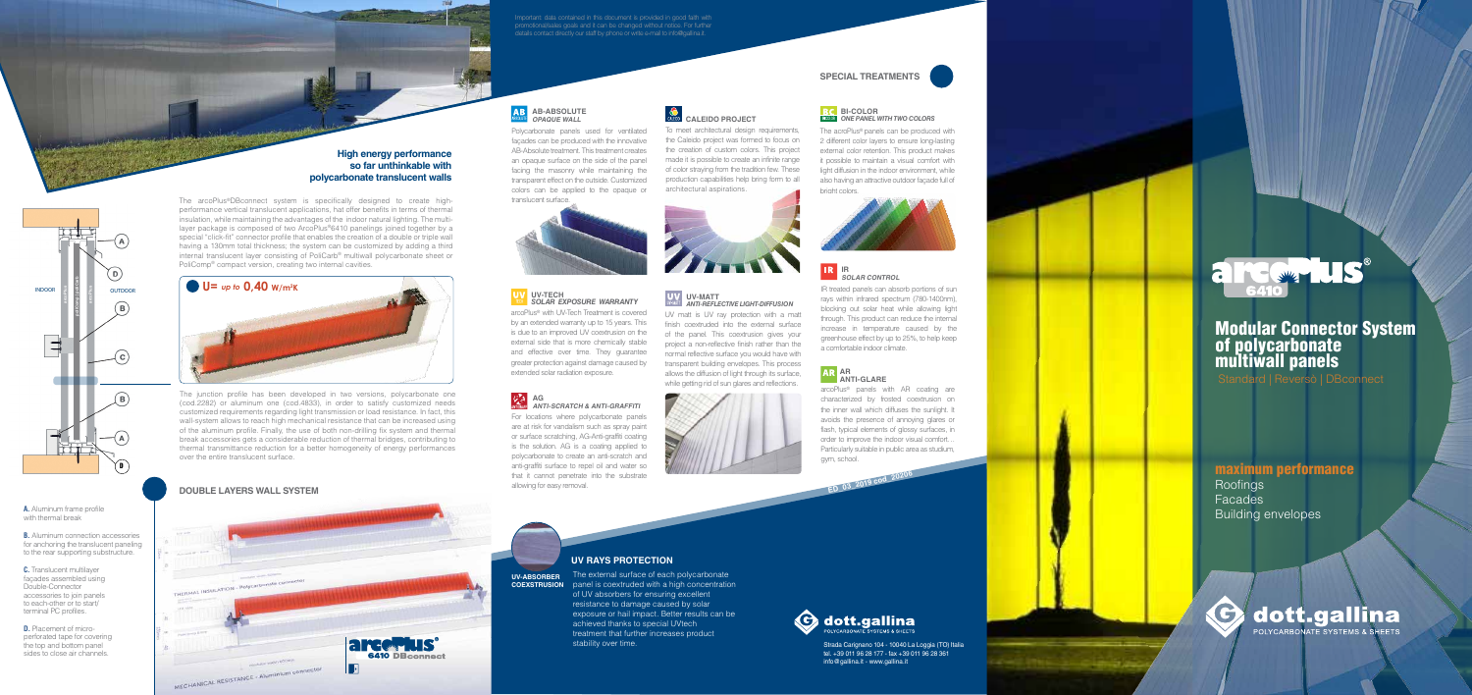Strada Carignano 104 - 10040 La Loggia (TO) Italia tel. +39 011 96 28 177 - fax +39 011 96 28 361 info@gallina.it - www.gallina.it



**UV-ABSORBER**



**B.** Aluminum connection accessories for anchoring the translucent paneling to the rear supporting substructure.

### **DOUBLE LAYERS WALL SYSTEM**

THERMAL INST

**A.** Aluminum frame profile with thermal break

**C.** Translucent multilayer façades assembled using Double-Connector accessories to join panels to each-other or to start/ terminal PC profiles.

**D.** Placement of microperforated tape for covering the top and bottom panel sides to close air channels.





The junction profile has been developed in two versions, polycarbonate one (cod.2282) or aluminum one (cod.4833), in order to satisfy customized needs customized requirements regarding light transmission or load resistance. In fact, this wall-system allows to reach high mechanical resistance that can be increased using of the aluminum profile. Finally, the use of both non-drilling fix system and thermal break accessories gets a considerable reduction of thermal bridges, contributing to thermal transmittance reduction for a better homogeneity of energy performances over the entire translucent surface.

> **COEXSTRUSION** panel is coextruded with a high concentration The external surface of each polycarbonate of UV absorbers for ensuring excellent resistance to damage caused by solar exposure or hail impact. Better results can be achieved thanks to special UVtech treatment that further increases product stability over time.

**ED\_03\_2019** 

**cod\_20206**



### Roofings Facades Building envelopes maximum performance

C dott.gallina POLYCARBONATE SYSTEMS & SHEETS

# Modular Connector System of polycarbonate multiwall panels

Standard | Reversò | DBconnect

#### **High energy performance so far unthinkable with polycarbonate translucent walls**

#### **UV RAYS PROTECTION**

#### **UV** UV-TECH *SOLAR EXPOSURE WARRANTY*

The acroPlus® panels can be produced with 2 different color layers to ensure long-lasting external color retention. This product makes it possible to maintain a visual comfort with light diffusion in the indoor environment, while also having an attractive outdoor façade full of briaht colors.



The arcoPlus ®DBconnect system is specifically designed to create highperformance vertical translucent applications, hat offer benefits in terms of thermal insulation, while maintaining the advantages of the indoor natural lighting. The multilayer package is composed of two ArcoPlus®6410 panelings joined together by a special "click-fit" connector profile that enables the creation of a double or triple wall having a 130mm total thickness; the system can be customized by adding a third internal translucent layer consisting of PoliCarb ® multiwall polycarbonate sheet or PoliComp ® compact version, creating two internal cavities.

#### **AR ANTI-GLARE**

Important: data contained in this document is provided in good faith with promotional/sales goals and it can be changed without notice. For further details contact directly our staff by phone or write e-mail to info@gallina.it.

#### **SPECIAL TREATMENTS**

To meet architectural design requirements, the Caleido project was formed to focus on the creation of custom colors. This project made it is possible to create an infinite range of color straying from the tradition few. These production capabilities help bring form to all



### **CALEIDO PROJECT**

#### **AB-ABSOLUTE OPAQUE WALL**

Polycarbonate panels used for ventilated façades can be produced with the innovative AB-Absolute treatment. This treatment creates an opaque surface on the side of the panel facing the masonry while maintaining the transparent effect on the outside. Customized colors can be applied to the opaque or translucent surface.



For locations where polycarbonate panels are at risk for vandalism such as spray paint or surface scratching, AG-Anti-graffiti coating is the solution. AG is a coating applied to polycarbonate to create an anti-scratch and anti-graffiti surface to repel oil and water so that it cannot penetrate into the substrate allowing for easy removal. **AG ANTI-SCRATCH & ANTI-GRAFFITI**



arcoPlus ® with UV-Tech Treatment is covered by an extended warranty up to 15 years. This is due to an improved UV coextrusion on the external side that is more chemically stable and effective over time. They guarantee greater protection against damage caused by extended solar radiation exposure.

> arcoPlus ® panels with AR coating are characterized by frosted coextrusion on the inner wall which diffuses the sunlight. It avoids the presence of annoying glares or flash, typical elements of glossy surfaces, in order to improve the indoor visual comfort… Particularly suitable in public area as studium, gym, school.

> IR treated panels can absorb portions of sun rays within infrared spectrum (780-1400nm), blocking out solar heat while allowing light through. This product can reduce the internal increase in temperature caused by the greenhouse effect by up to 25%, to help keep a comfortable indoor climate.

# **IR SOLAR CONTROL**

UV matt is UV ray protection with a matt finish coextruded into the external surface of the panel. This coextrusion gives your project a non-reflective finish rather than the normal reflective surface you would have with transparent building envelopes. This process allows the diffusion of light through its surface, while getting rid of sun glares and reflections.

#### **BC** BI-COLOR **BLOUGE** ONE PANEL WITH TWO COLORS

# **UV-MATT** *ANTI-REFLECTIVE LIGHT-DIFFUSION*